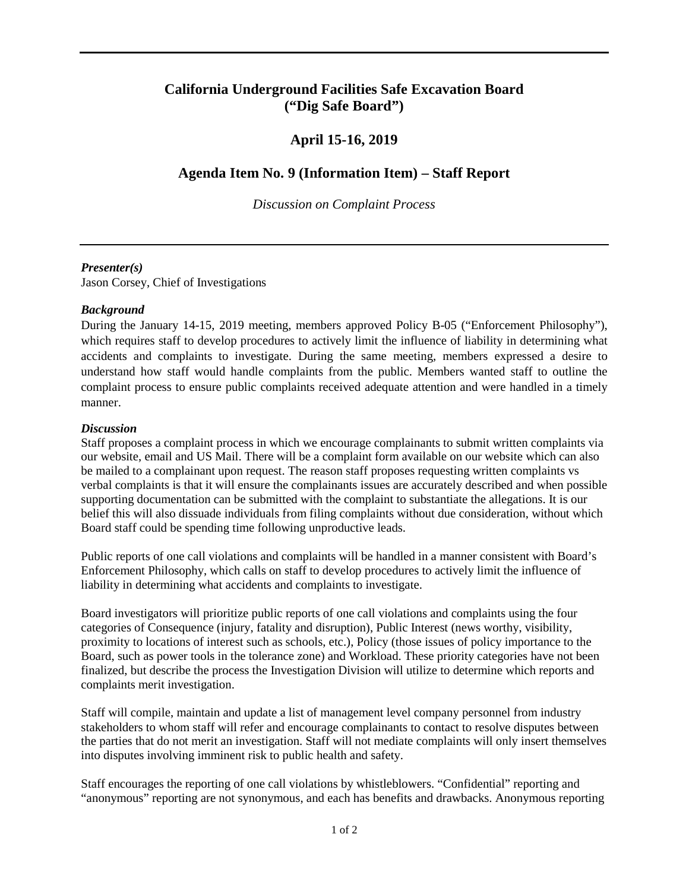## **California Underground Facilities Safe Excavation Board ("Dig Safe Board")**

# **April 15-16, 2019**

## **Agenda Item No. 9 (Information Item) – Staff Report**

*Discussion on Complaint Process* 

#### *Presenter(s)*

Jason Corsey, Chief of Investigations

### *Background*

 During the January 14-15, 2019 meeting, members approved Policy B-05 ("Enforcement Philosophy"), which requires staff to develop procedures to actively limit the influence of liability in determining what understand how staff would handle complaints from the public. Members wanted staff to outline the accidents and complaints to investigate. During the same meeting, members expressed a desire to complaint process to ensure public complaints received adequate attention and were handled in a timely manner.

#### *Discussion*

 our website, email and US Mail. There will be a complaint form available on our website which can also be mailed to a complainant upon request. The reason staff proposes requesting written complaints vs verbal complaints is that it will ensure the complainants issues are accurately described and when possible supporting documentation can be submitted with the complaint to substantiate the allegations. It is our Board staff could be spending time following unproductive leads. Staff proposes a complaint process in which we encourage complainants to submit written complaints via belief this will also dissuade individuals from filing complaints without due consideration, without which

 Enforcement Philosophy, which calls on staff to develop procedures to actively limit the influence of liability in determining what accidents and complaints to investigate. Public reports of one call violations and complaints will be handled in a manner consistent with Board's

 categories of Consequence (injury, fatality and disruption), Public Interest (news worthy, visibility, proximity to locations of interest such as schools, etc.), Policy (those issues of policy importance to the finalized, but describe the process the Investigation Division will utilize to determine which reports and Board investigators will prioritize public reports of one call violations and complaints using the four Board, such as power tools in the tolerance zone) and Workload. These priority categories have not been complaints merit investigation.

 Staff will compile, maintain and update a list of management level company personnel from industry stakeholders to whom staff will refer and encourage complainants to contact to resolve disputes between the parties that do not merit an investigation. Staff will not mediate complaints will only insert themselves into disputes involving imminent risk to public health and safety.

Staff encourages the reporting of one call violations by whistleblowers. "Confidential" reporting and "anonymous" reporting are not synonymous, and each has benefits and drawbacks. Anonymous reporting